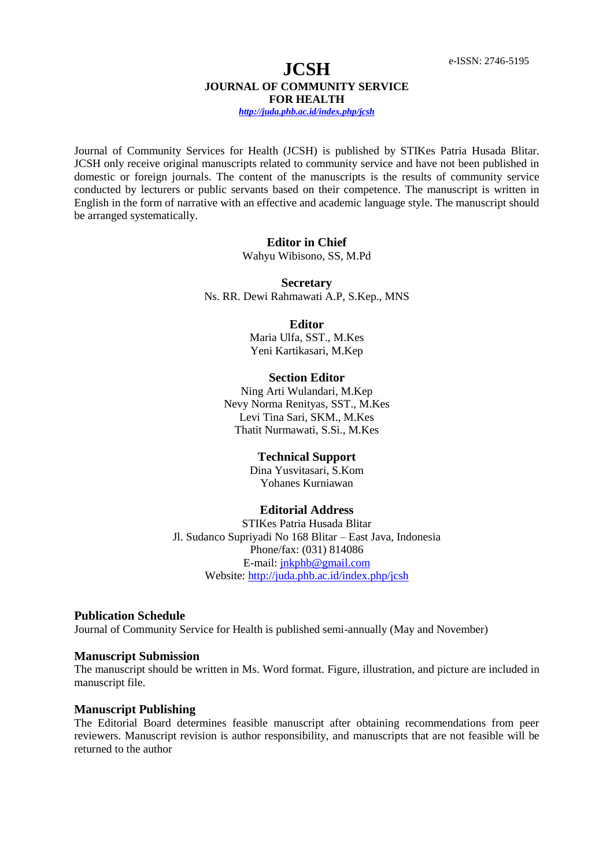Journal of Community Services for Health (JCSH) is published by STIKes Patria Husada Blitar. JCSH only receive original manuscripts related to community service and have not been published in domestic or foreign journals. The content of the manuscripts is the results of community service conducted by lecturers or public servants based on their competence. The manuscript is written in English in the form of narrative with an effective and academic language style. The manuscript should be arranged systematically.

#### **Editor in Chief**

Wahyu Wibisono, SS, M.Pd

**Secretary** Ns. RR. Dewi Rahmawati A.P, S.Kep., MNS

> **Editor** Maria Ulfa, SST., M.Kes Yeni Kartikasari, M.Kep

# **Section Editor**

Ning Arti Wulandari, M.Kep Nevy Norma Renityas, SST., M.Kes Levi Tina Sari, SKM., M.Kes Thatit Nurmawati, S.Si., M.Kes

#### **Technical Support**

Dina Yusvitasari, S.Kom Yohanes Kurniawan

#### **Editorial Address**

STIKes Patria Husada Blitar Jl. Sudanco Supriyadi No 168 Blitar – East Java, Indonesia Phone/fax: (031) 814086 E-mail: [jnkphb@gmail.com](mailto:jnkphb@gmail.com) Website[: http://juda.phb.ac.id/index.php/jcsh](http://juda.phb.ac.id/index.php/jcsh)

#### **Publication Schedule**

Journal of Community Service for Health is published semi-annually (May and November)

#### **Manuscript Submission**

The manuscript should be written in Ms. Word format. Figure, illustration, and picture are included in manuscript file.

#### **Manuscript Publishing**

The Editorial Board determines feasible manuscript after obtaining recommendations from peer reviewers. Manuscript revision is author responsibility, and manuscripts that are not feasible will be returned to the author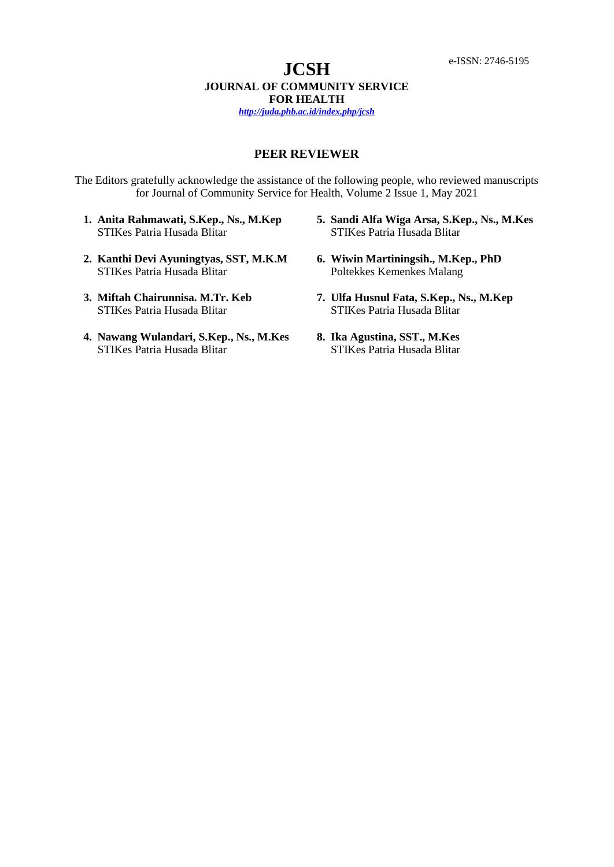# **PEER REVIEWER**

The Editors gratefully acknowledge the assistance of the following people, who reviewed manuscripts for Journal of Community Service for Health, Volume 2 Issue 1, May 2021

- **1. Anita Rahmawati, S.Kep., Ns., M.Kep** STIKes Patria Husada Blitar
- **2. Kanthi Devi Ayuningtyas, SST, M.K.M** STIKes Patria Husada Blitar
- **3. Miftah Chairunnisa. M.Tr. Keb** STIKes Patria Husada Blitar
- **4. Nawang Wulandari, S.Kep., Ns., M.Kes** STIKes Patria Husada Blitar
- **5. Sandi Alfa Wiga Arsa, S.Kep., Ns., M.Kes** STIKes Patria Husada Blitar
- **6. Wiwin Martiningsih., M.Kep., PhD** Poltekkes Kemenkes Malang
- **7. Ulfa Husnul Fata, S.Kep., Ns., M.Kep** STIKes Patria Husada Blitar
- **8. Ika Agustina, SST., M.Kes** STIKes Patria Husada Blitar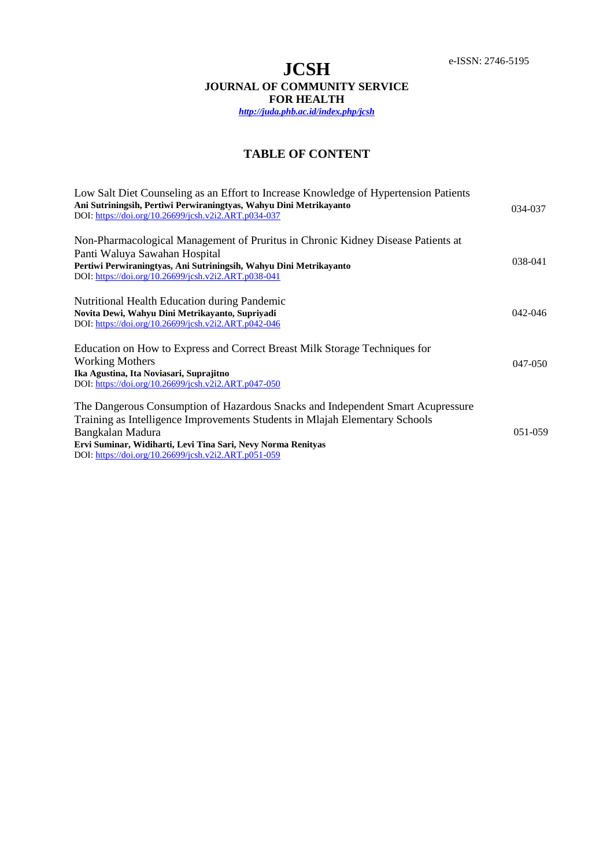# **TABLE OF CONTENT**

| Low Salt Diet Counseling as an Effort to Increase Knowledge of Hypertension Patients |             |
|--------------------------------------------------------------------------------------|-------------|
| Ani Sutriningsih, Pertiwi Perwiraningtyas, Wahyu Dini Metrikayanto                   | 034-037     |
| DOI: https://doi.org/10.26699/jcsh.v2i2.ART.p034-037                                 |             |
|                                                                                      |             |
| Non-Pharmacological Management of Pruritus in Chronic Kidney Disease Patients at     |             |
| Panti Waluya Sawahan Hospital                                                        |             |
| Pertiwi Perwiraningtyas, Ani Sutriningsih, Wahyu Dini Metrikayanto                   | 038-041     |
| DOI: https://doi.org/10.26699/jcsh.v2i2.ART.p038-041                                 |             |
| Nutritional Health Education during Pandemic                                         |             |
| Novita Dewi, Wahyu Dini Metrikayanto, Supriyadi                                      | $042 - 046$ |
| DOI: https://doi.org/10.26699/jcsh.v2i2.ART.p042-046                                 |             |
|                                                                                      |             |
| Education on How to Express and Correct Breast Milk Storage Techniques for           |             |
| <b>Working Mothers</b>                                                               | 047-050     |
| Ika Agustina, Ita Noviasari, Suprajitno                                              |             |
| DOI: https://doi.org/10.26699/jcsh.v2i2.ART.p047-050                                 |             |
| The Dangerous Consumption of Hazardous Snacks and Independent Smart Acupressure      |             |
| Training as Intelligence Improvements Students in Mlajah Elementary Schools          |             |
|                                                                                      | 051-059     |
| Bangkalan Madura                                                                     |             |
| Ervi Suminar, Widiharti, Levi Tina Sari, Nevy Norma Renityas                         |             |
| DOI: https://doi.org/10.26699/jcsh.v2i2.ART.p051-059                                 |             |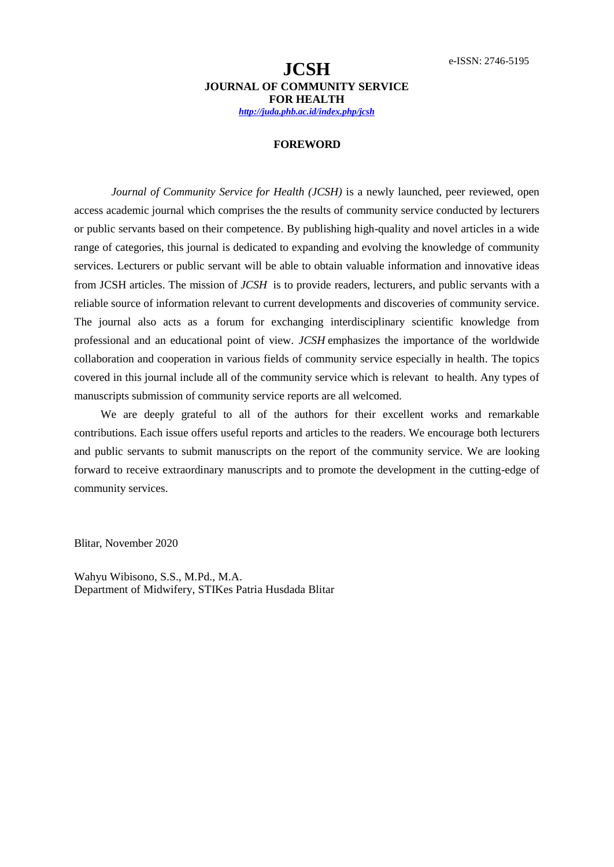## **FOREWORD**

*Journal of Community Service for Health (JCSH)* is a newly launched, peer reviewed, open access academic journal which comprises the the results of community service conducted by lecturers or public servants based on their competence. By publishing high-quality and novel articles in a wide range of categories, this journal is dedicated to expanding and evolving the knowledge of community services. Lecturers or public servant will be able to obtain valuable information and innovative ideas from JCSH articles. The mission of *JCSH* is to provide readers, lecturers, and public servants with a reliable source of information relevant to current developments and discoveries of community service. The journal also acts as a forum for exchanging interdisciplinary scientific knowledge from professional and an educational point of view. *JCSH* emphasizes the importance of the worldwide collaboration and cooperation in various fields of community service especially in health. The topics covered in this journal include all of the community service which is relevant to health. Any types of manuscripts submission of community service reports are all welcomed.

We are deeply grateful to all of the authors for their excellent works and remarkable contributions. Each issue offers useful reports and articles to the readers. We encourage both lecturers and public servants to submit manuscripts on the report of the community service. We are looking forward to receive extraordinary manuscripts and to promote the development in the cutting-edge of community services.

Blitar, November 2020

Wahyu Wibisono, S.S., M.Pd., M.A. Department of Midwifery, STIKes Patria Husdada Blitar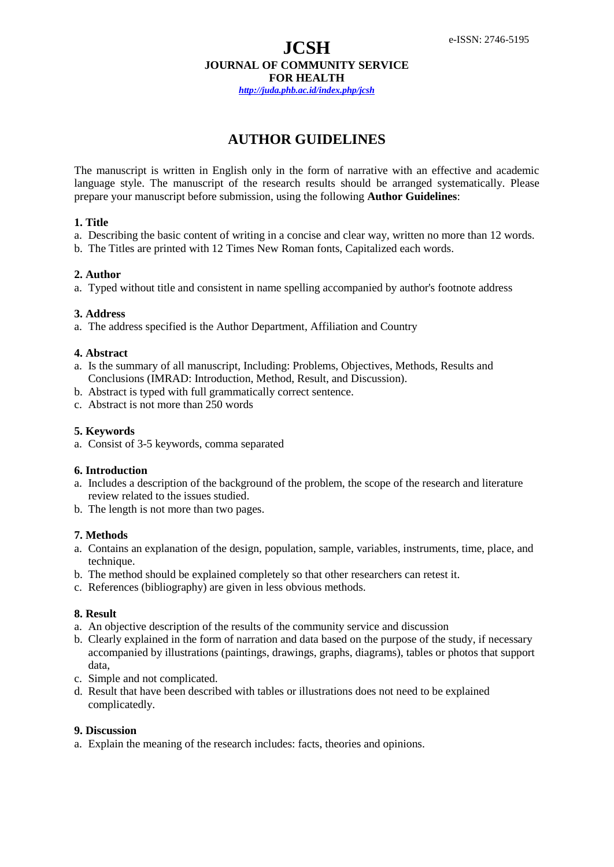# **JCSH JOURNAL OF COMMUNITY SERVICE FOR HEALTH**

*http://juda.phb.ac.id/index.php/jcsh*

# **AUTHOR GUIDELINES**

The manuscript is written in English only in the form of narrative with an effective and academic language style. The manuscript of the research results should be arranged systematically. Please prepare your manuscript before submission, using the following **Author Guidelines**:

## **1. Title**

- a. Describing the basic content of writing in a concise and clear way, written no more than 12 words.
- b. The Titles are printed with 12 Times New Roman fonts, Capitalized each words.

## **2. Author**

a. Typed without title and consistent in name spelling accompanied by author's footnote address

# **3. Address**

a. The address specified is the Author Department, Affiliation and Country

## **4. Abstract**

- a. Is the summary of all manuscript, Including: Problems, Objectives, Methods, Results and Conclusions (IMRAD: Introduction, Method, Result, and Discussion).
- b. Abstract is typed with full grammatically correct sentence.
- c. Abstract is not more than 250 words

# **5. Keywords**

a. Consist of 3-5 keywords, comma separated

## **6. Introduction**

- a. Includes a description of the background of the problem, the scope of the research and literature review related to the issues studied.
- b. The length is not more than two pages.

# **7. Methods**

- a. Contains an explanation of the design, population, sample, variables, instruments, time, place, and technique.
- b. The method should be explained completely so that other researchers can retest it.
- c. References (bibliography) are given in less obvious methods.

# **8. Result**

- a. An objective description of the results of the community service and discussion
- b. Clearly explained in the form of narration and data based on the purpose of the study, if necessary accompanied by illustrations (paintings, drawings, graphs, diagrams), tables or photos that support data,
- c. Simple and not complicated.
- d. Result that have been described with tables or illustrations does not need to be explained complicatedly.

#### **9. Discussion**

a. Explain the meaning of the research includes: facts, theories and opinions.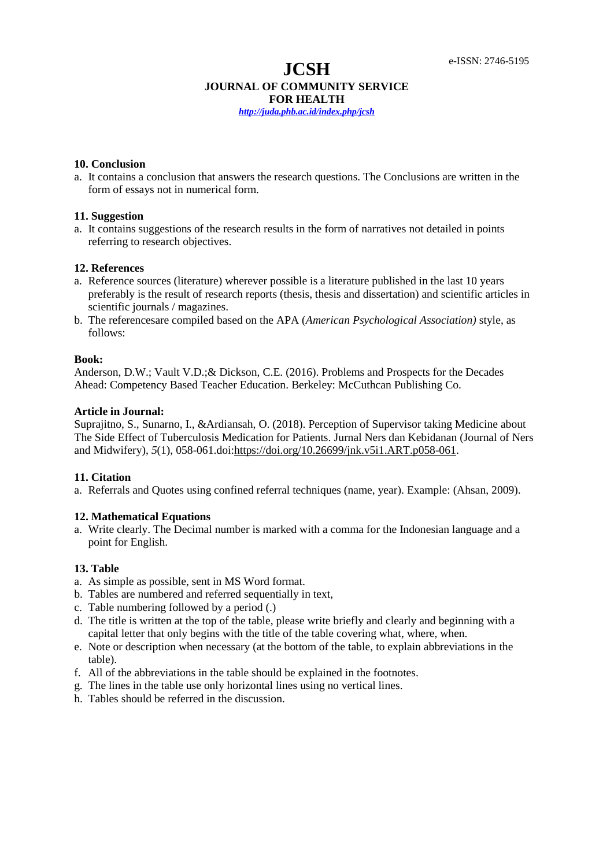# **JCSH**

# **JOURNAL OF COMMUNITY SERVICE FOR HEALTH**

*http://juda.phb.ac.id/index.php/jcsh*

## **10. Conclusion**

a. It contains a conclusion that answers the research questions. The Conclusions are written in the form of essays not in numerical form.

## **11. Suggestion**

a. It contains suggestions of the research results in the form of narratives not detailed in points referring to research objectives.

# **12. References**

- a. Reference sources (literature) wherever possible is a literature published in the last 10 years preferably is the result of research reports (thesis, thesis and dissertation) and scientific articles in scientific journals / magazines.
- b. The referencesare compiled based on the APA (*American Psychological Association)* style, as follows:

#### **Book:**

Anderson, D.W.; Vault V.D.;& Dickson, C.E. (2016). Problems and Prospects for the Decades Ahead: Competency Based Teacher Education. Berkeley: McCuthcan Publishing Co.

## **Article in Journal:**

Suprajitno, S., Sunarno, I., &Ardiansah, O. (2018). Perception of Supervisor taking Medicine about The Side Effect of Tuberculosis Medication for Patients. Jurnal Ners dan Kebidanan (Journal of Ners and Midwifery), *5*(1), 058-061.doi[:https://doi.org/10.26699/jnk.v5i1.ART.p058-061.](https://doi.org/10.26699/jnk.v5i1.ART.p058-061)

# **11. Citation**

a. Referrals and Quotes using confined referral techniques (name, year). Example: (Ahsan, 2009).

# **12. Mathematical Equations**

a. Write clearly. The Decimal number is marked with a comma for the Indonesian language and a point for English.

## **13. Table**

- a. As simple as possible, sent in MS Word format.
- b. Tables are numbered and referred sequentially in text,
- c. Table numbering followed by a period (.)
- d. The title is written at the top of the table, please write briefly and clearly and beginning with a capital letter that only begins with the title of the table covering what, where, when.
- e. Note or description when necessary (at the bottom of the table, to explain abbreviations in the table).
- f. All of the abbreviations in the table should be explained in the footnotes.
- g. The lines in the table use only horizontal lines using no vertical lines.
- h. Tables should be referred in the discussion.